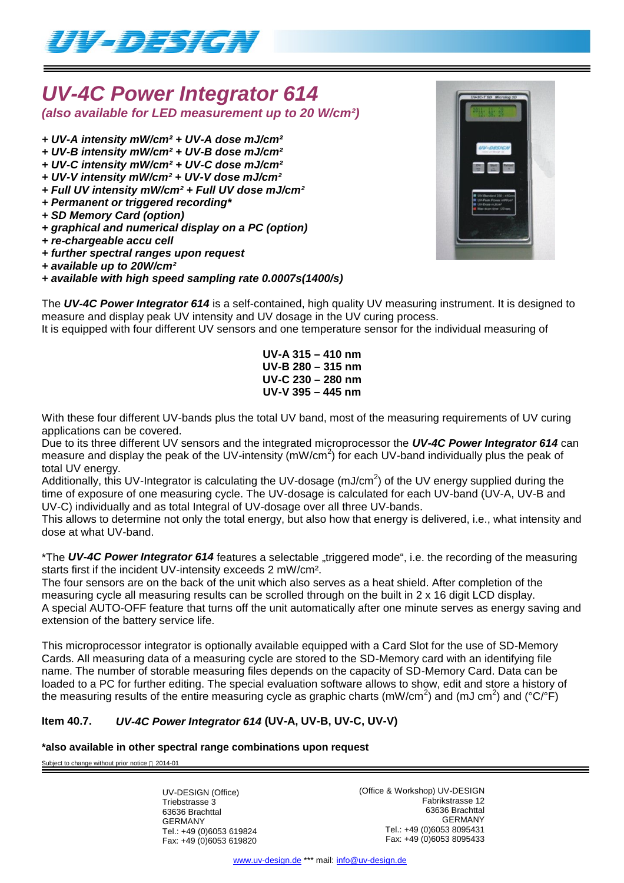

## *UV-4C Power Integrator 614 (also available for LED measurement up to 20 W/cm²)*

- *+ UV-A intensity mW/cm² + UV-A dose mJ/cm²*
- *+ UV-B intensity mW/cm² + UV-B dose mJ/cm²*
- *+ UV-C intensity mW/cm² + UV-C dose mJ/cm²*
- *+ UV-V intensity mW/cm² + UV-V dose mJ/cm²*
- *+ Full UV intensity mW/cm² + Full UV dose mJ/cm²*
- *+ Permanent or triggered recording\**
- *+ SD Memory Card (option)*
- *+ graphical and numerical display on a PC (option)*
- *+ re-chargeable accu cell*
- *+ further spectral ranges upon request*
- *+ available up to 20W/cm²*
- *+ available with high speed sampling rate 0.0007s(1400/s)*



It is equipped with four different UV sensors and one temperature sensor for the individual measuring of

**UV-A 315 – 410 nm UV-B 280 – 315 nm UV-C 230 – 280 nm UV-V 395 – 445 nm**

With these four different UV-bands plus the total UV band, most of the measuring requirements of UV curing applications can be covered.

Due to its three different UV sensors and the integrated microprocessor the *UV-4C Power Integrator 614* can measure and display the peak of the UV-intensity (mW/cm<sup>2</sup>) for each UV-band individually plus the peak of total UV energy.

Additionally, this UV-Integrator is calculating the UV-dosage (mJ/cm<sup>2</sup>) of the UV energy supplied during the time of exposure of one measuring cycle. The UV-dosage is calculated for each UV-band (UV-A, UV-B and UV-C) individually and as total Integral of UV-dosage over all three UV-bands.

This allows to determine not only the total energy, but also how that energy is delivered, i.e., what intensity and dose at what UV-band.

\*The UV-4C Power Integrator 614 features a selectable "triggered mode", i.e. the recording of the measuring starts first if the incident UV-intensity exceeds 2 mW/cm².

The four sensors are on the back of the unit which also serves as a heat shield. After completion of the measuring cycle all measuring results can be scrolled through on the built in 2 x 16 digit LCD display. A special AUTO-OFF feature that turns off the unit automatically after one minute serves as energy saving and extension of the battery service life.

This microprocessor integrator is optionally available equipped with a Card Slot for the use of SD-Memory Cards. All measuring data of a measuring cycle are stored to the SD-Memory card with an identifying file name. The number of storable measuring files depends on the capacity of SD-Memory Card. Data can be loaded to a PC for further editing. The special evaluation software allows to show, edit and store a history of the measuring results of the entire measuring cycle as graphic charts (mW/cm<sup>2</sup>) and (mJ cm<sup>2</sup>) and (°C/°F)

### **Item 40.7.** *UV-4C Power Integrator 614* **(UV-A, UV-B, UV-C, UV-V)**

#### **\*also available in other spectral range combinations upon request**

Subject to change without prior notice @ 2014-01

UV-DESIGN (Office) Triebstrasse 3 63636 Brachttal GERMANY Tel.: +49 (0)6053 619824 Fax: +49 (0)6053 619820 (Office & Workshop) UV-DESIGN Fabrikstrasse 12 63636 Brachttal GERMANY Tel.: +49 (0)6053 8095431 Fax: +49 (0)6053 8095433